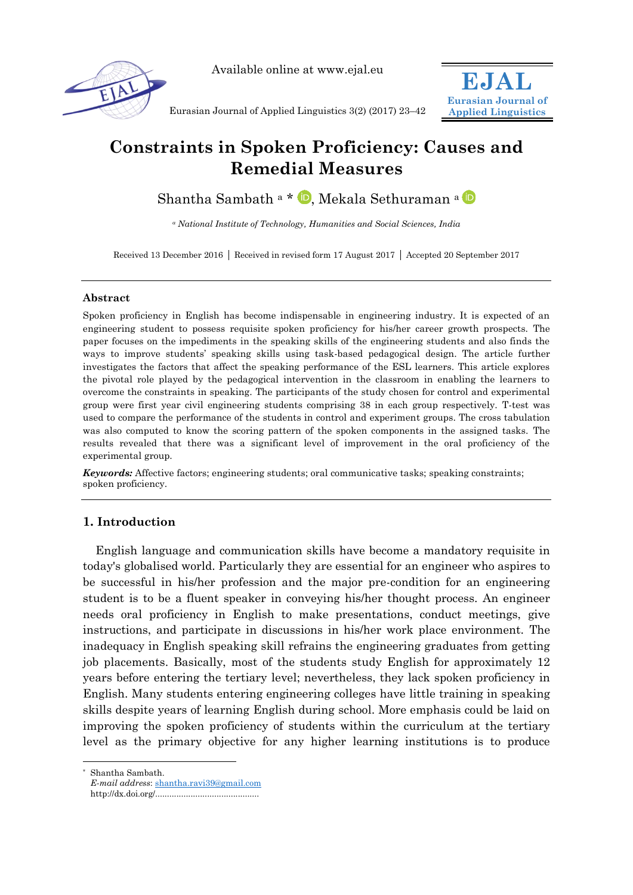

Available online at www.ejal.eu

**EJAL Eurasian Journal of Applied Linguistics**

Eurasian Journal of Applied Linguistics 3(2) (2017) 23–42

# **Constraints in Spoken Proficiency: Causes and Remedial Measures**

Sh[a](http://orcid.org/0000-0001-9195-689X)ntha Sambath<sup>a</sup> \* **D**[,](http://orcid.org/0000-0002-7129-0813) Mekala Sethuraman <sup>a</sup> **D** 

*<sup>a</sup> National Institute of Technology, Humanities and Social Sciences, India*

Received 13 December 2016 | Received in revised form 17 August 2017 | Accepted 20 September 2017

# **Abstract**

Spoken proficiency in English has become indispensable in engineering industry. It is expected of an engineering student to possess requisite spoken proficiency for his/her career growth prospects. The paper focuses on the impediments in the speaking skills of the engineering students and also finds the ways to improve students' speaking skills using task-based pedagogical design. The article further investigates the factors that affect the speaking performance of the ESL learners. This article explores the pivotal role played by the pedagogical intervention in the classroom in enabling the learners to overcome the constraints in speaking. The participants of the study chosen for control and experimental group were first year civil engineering students comprising 38 in each group respectively. T-test was used to compare the performance of the students in control and experiment groups. The cross tabulation was also computed to know the scoring pattern of the spoken components in the assigned tasks. The results revealed that there was a significant level of improvement in the oral proficiency of the experimental group.

*Keywords:* Affective factors; engineering students; oral communicative tasks; speaking constraints; spoken proficiency.

# **1. Introduction**

English language and communication skills have become a mandatory requisite in today's globalised world. Particularly they are essential for an engineer who aspires to be successful in his/her profession and the major pre-condition for an engineering student is to be a fluent speaker in conveying his/her thought process. An engineer needs oral proficiency in English to make presentations, conduct meetings, give instructions, and participate in discussions in his/her work place environment. The inadequacy in English speaking skill refrains the engineering graduates from getting job placements. Basically, most of the students study English for approximately 12 years before entering the tertiary level; nevertheless, they lack spoken proficiency in English. Many students entering engineering colleges have little training in speaking skills despite years of learning English during school. More emphasis could be laid on improving the spoken proficiency of students within the curriculum at the tertiary level as the primary objective for any higher learning institutions is to produce

-

<sup>\*</sup> Shantha Sambath.

*E-mail address*: [shantha.ravi39@gmail.com](mailto:shantha.ravi39@gmail.com)

http://dx.doi.org/............................................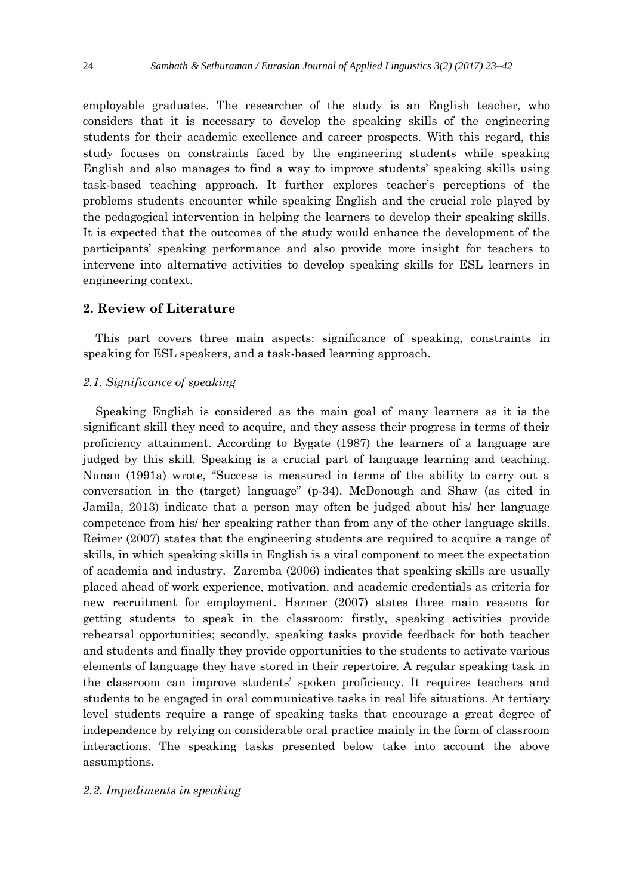employable graduates. The researcher of the study is an English teacher, who considers that it is necessary to develop the speaking skills of the engineering students for their academic excellence and career prospects. With this regard, this study focuses on constraints faced by the engineering students while speaking English and also manages to find a way to improve students' speaking skills using task-based teaching approach. It further explores teacher's perceptions of the problems students encounter while speaking English and the crucial role played by the pedagogical intervention in helping the learners to develop their speaking skills. It is expected that the outcomes of the study would enhance the development of the participants' speaking performance and also provide more insight for teachers to intervene into alternative activities to develop speaking skills for ESL learners in engineering context.

# **2. Review of Literature**

This part covers three main aspects: significance of speaking, constraints in speaking for ESL speakers, and a task-based learning approach.

### *2.1. Significance of speaking*

Speaking English is considered as the main goal of many learners as it is the significant skill they need to acquire, and they assess their progress in terms of their proficiency attainment. According to Bygate (1987) the learners of a language are judged by this skill. Speaking is a crucial part of language learning and teaching. Nunan (1991a) wrote, "Success is measured in terms of the ability to carry out a conversation in the (target) language" (p-34). McDonough and Shaw (as cited in Jamila, 2013) indicate that a person may often be judged about his/ her language competence from his/ her speaking rather than from any of the other language skills. Reimer (2007) states that the engineering students are required to acquire a range of skills, in which speaking skills in English is a vital component to meet the expectation of academia and industry. Zaremba (2006) indicates that speaking skills are usually placed ahead of work experience, motivation, and academic credentials as criteria for new recruitment for employment. Harmer (2007) states three main reasons for getting students to speak in the classroom: firstly, speaking activities provide rehearsal opportunities; secondly, speaking tasks provide feedback for both teacher and students and finally they provide opportunities to the students to activate various elements of language they have stored in their repertoire. A regular speaking task in the classroom can improve students' spoken proficiency. It requires teachers and students to be engaged in oral communicative tasks in real life situations. At tertiary level students require a range of speaking tasks that encourage a great degree of independence by relying on considerable oral practice mainly in the form of classroom interactions. The speaking tasks presented below take into account the above assumptions.

#### *2.2. Impediments in speaking*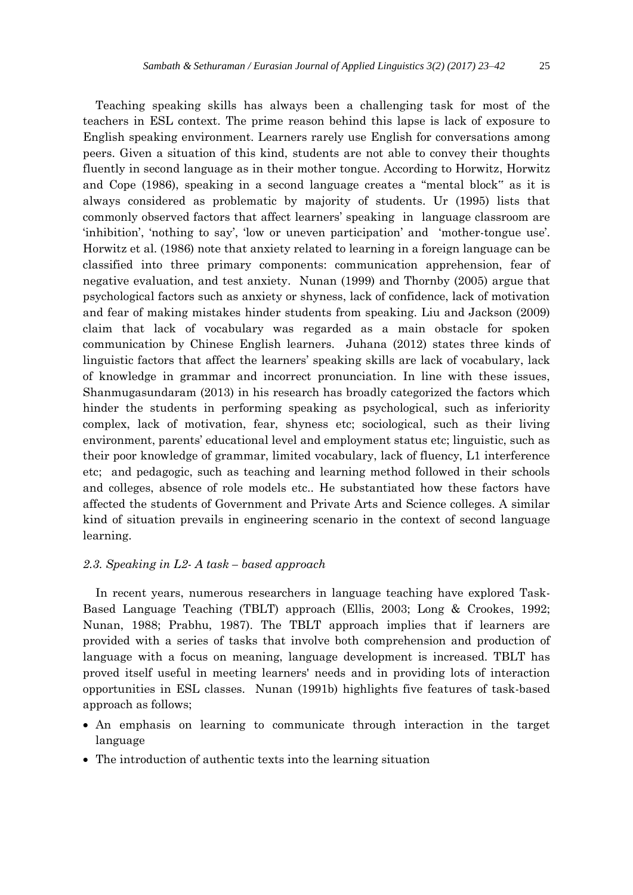Teaching speaking skills has always been a challenging task for most of the teachers in ESL context. The prime reason behind this lapse is lack of exposure to English speaking environment. Learners rarely use English for conversations among peers. Given a situation of this kind, students are not able to convey their thoughts fluently in second language as in their mother tongue. According to Horwitz, Horwitz and Cope (1986), speaking in a second language creates a "mental block" as it is always considered as problematic by majority of students. Ur (1995) lists that commonly observed factors that affect learners' speaking in language classroom are 'inhibition', 'nothing to say', 'low or uneven participation' and 'mother-tongue use'. Horwitz et al. (1986) note that anxiety related to learning in a foreign language can be classified into three primary components: communication apprehension, fear of negative evaluation, and test anxiety. Nunan (1999) and Thornby (2005) argue that psychological factors such as anxiety or shyness, lack of confidence, lack of motivation and fear of making mistakes hinder students from speaking. Liu and Jackson (2009) claim that lack of vocabulary was regarded as a main obstacle for spoken communication by Chinese English learners. Juhana (2012) states three kinds of linguistic factors that affect the learners' speaking skills are lack of vocabulary, lack of knowledge in grammar and incorrect pronunciation. In line with these issues, Shanmugasundaram (2013) in his research has broadly categorized the factors which hinder the students in performing speaking as psychological, such as inferiority complex, lack of motivation, fear, shyness etc; sociological, such as their living environment, parents' educational level and employment status etc; linguistic, such as their poor knowledge of grammar, limited vocabulary, lack of fluency, L1 interference etc; and pedagogic, such as teaching and learning method followed in their schools and colleges, absence of role models etc.. He substantiated how these factors have affected the students of Government and Private Arts and Science colleges. A similar kind of situation prevails in engineering scenario in the context of second language learning.

# *2.3. Speaking in L2- A task – based approach*

In recent years, numerous researchers in language teaching have explored Task-Based Language Teaching (TBLT) approach (Ellis, 2003; Long & Crookes, 1992; Nunan, 1988; Prabhu, 1987). The TBLT approach implies that if learners are provided with a series of tasks that involve both comprehension and production of language with a focus on meaning, language development is increased. TBLT has proved itself useful in meeting learners' needs and in providing lots of interaction opportunities in ESL classes. Nunan (1991b) highlights five features of task-based approach as follows;

- An emphasis on learning to communicate through interaction in the target language
- The introduction of authentic texts into the learning situation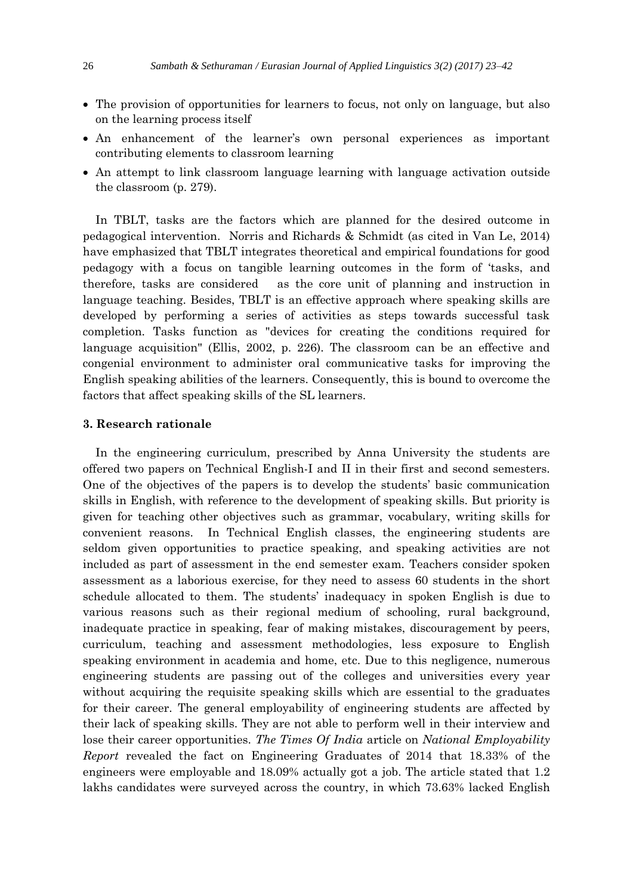- The provision of opportunities for learners to focus, not only on language, but also on the learning process itself
- An enhancement of the learner's own personal experiences as important contributing elements to classroom learning
- An attempt to link classroom language learning with language activation outside the classroom (p. 279).

In TBLT, tasks are the factors which are planned for the desired outcome in pedagogical intervention. Norris and Richards & Schmidt (as cited in Van Le, 2014) have emphasized that TBLT integrates theoretical and empirical foundations for good pedagogy with a focus on tangible learning outcomes in the form of 'tasks, and therefore, tasks are considered as the core unit of planning and instruction in language teaching. Besides, TBLT is an effective approach where speaking skills are developed by performing a series of activities as steps towards successful task completion. Tasks function as "devices for creating the conditions required for language acquisition" (Ellis, 2002, p. 226). The classroom can be an effective and congenial environment to administer oral communicative tasks for improving the English speaking abilities of the learners. Consequently, this is bound to overcome the factors that affect speaking skills of the SL learners.

# **3. Research rationale**

In the engineering curriculum, prescribed by Anna University the students are offered two papers on Technical English-I and II in their first and second semesters. One of the objectives of the papers is to develop the students' basic communication skills in English, with reference to the development of speaking skills. But priority is given for teaching other objectives such as grammar, vocabulary, writing skills for convenient reasons. In Technical English classes, the engineering students are seldom given opportunities to practice speaking, and speaking activities are not included as part of assessment in the end semester exam. Teachers consider spoken assessment as a laborious exercise, for they need to assess 60 students in the short schedule allocated to them. The students' inadequacy in spoken English is due to various reasons such as their regional medium of schooling, rural background, inadequate practice in speaking, fear of making mistakes, discouragement by peers, curriculum, teaching and assessment methodologies, less exposure to English speaking environment in academia and home, etc. Due to this negligence, numerous engineering students are passing out of the colleges and universities every year without acquiring the requisite speaking skills which are essential to the graduates for their career. The general employability of engineering students are affected by their lack of speaking skills. They are not able to perform well in their interview and lose their career opportunities. *The Times Of India* article on *National Employability Report* revealed the fact on Engineering Graduates of 2014 that 18.33% of the engineers were employable and 18.09% actually got a job. The article stated that 1.2 lakhs candidates were surveyed across the country, in which 73.63% lacked English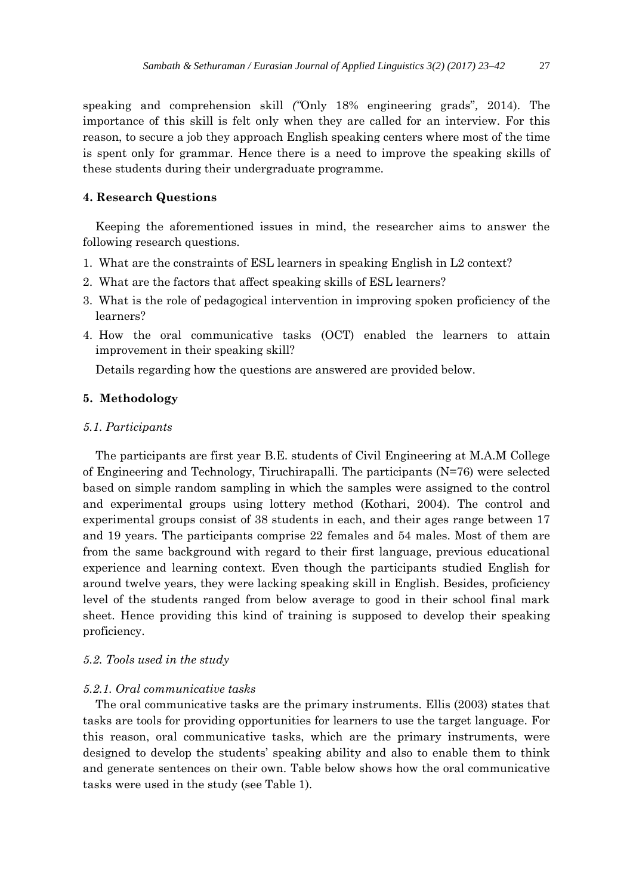speaking and comprehension skill *("*Only 18% engineering grads"*,* 2014). The importance of this skill is felt only when they are called for an interview. For this reason, to secure a job they approach English speaking centers where most of the time is spent only for grammar. Hence there is a need to improve the speaking skills of these students during their undergraduate programme.

# **4. Research Questions**

Keeping the aforementioned issues in mind, the researcher aims to answer the following research questions.

- 1. What are the constraints of ESL learners in speaking English in L2 context?
- 2. What are the factors that affect speaking skills of ESL learners?
- 3. What is the role of pedagogical intervention in improving spoken proficiency of the learners?
- 4. How the oral communicative tasks (OCT) enabled the learners to attain improvement in their speaking skill?

Details regarding how the questions are answered are provided below.

#### **5. Methodology**

#### *5.1. Participants*

The participants are first year B.E. students of Civil Engineering at M.A.M College of Engineering and Technology, Tiruchirapalli. The participants (N=76) were selected based on simple random sampling in which the samples were assigned to the control and experimental groups using lottery method (Kothari, 2004). The control and experimental groups consist of 38 students in each, and their ages range between 17 and 19 years. The participants comprise 22 females and 54 males. Most of them are from the same background with regard to their first language, previous educational experience and learning context. Even though the participants studied English for around twelve years, they were lacking speaking skill in English. Besides, proficiency level of the students ranged from below average to good in their school final mark sheet. Hence providing this kind of training is supposed to develop their speaking proficiency.

#### *5.2. Tools used in the study*

#### *5.2.1. Oral communicative tasks*

The oral communicative tasks are the primary instruments. Ellis (2003) states that tasks are tools for providing opportunities for learners to use the target language. For this reason, oral communicative tasks, which are the primary instruments, were designed to develop the students' speaking ability and also to enable them to think and generate sentences on their own. Table below shows how the oral communicative tasks were used in the study (see Table 1).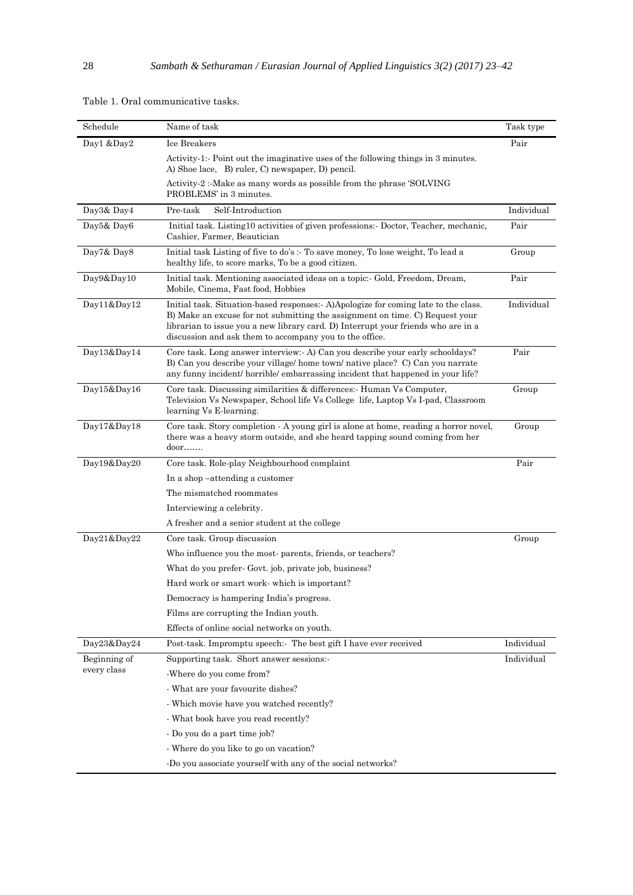| Schedule     | Name of task                                                                                                                                                                                                                                                                                                       | Task type  |
|--------------|--------------------------------------------------------------------------------------------------------------------------------------------------------------------------------------------------------------------------------------------------------------------------------------------------------------------|------------|
| Day1 &Day2   | Ice Breakers                                                                                                                                                                                                                                                                                                       | Pair       |
|              | Activity-1:- Point out the imaginative uses of the following things in 3 minutes.<br>A) Shoe lace, B) ruler, C) newspaper, D) pencil.                                                                                                                                                                              |            |
|              | Activity-2: Make as many words as possible from the phrase 'SOLVING'<br>PROBLEMS' in 3 minutes.                                                                                                                                                                                                                    |            |
| Day3& Day4   | Pre-task<br>Self-Introduction                                                                                                                                                                                                                                                                                      | Individual |
| Day5& Day6   | Initial task. Listing10 activities of given professions: Doctor, Teacher, mechanic,<br>Cashier, Farmer, Beautician                                                                                                                                                                                                 | Pair       |
| Day7& Day8   | Initial task Listing of five to do's :- To save money, To lose weight, To lead a<br>healthy life, to score marks, To be a good citizen.                                                                                                                                                                            | Group      |
| Day9&Day10   | Initial task. Mentioning associated ideas on a topic:- Gold, Freedom, Dream,<br>Mobile, Cinema, Fast food, Hobbies                                                                                                                                                                                                 | Pair       |
| Day11&Day12  | Initial task. Situation-based responses: A)Apologize for coming late to the class.<br>B) Make an excuse for not submitting the assignment on time. C) Request your<br>librarian to issue you a new library card. D) Interrupt your friends who are in a<br>discussion and ask them to accompany you to the office. | Individual |
| Day13&Day14  | Core task. Long answer interview: A) Can you describe your early schooldays?<br>B) Can you describe your village/home town/native place? C) Can you narrate<br>any funny incident/ horrible/ embarrassing incident that happened in your life?                                                                     | Pair       |
| Day15&Day16  | Core task. Discussing similarities & differences: Human Vs Computer,<br>Television Vs Newspaper, School life Vs College life, Laptop Vs I-pad, Classroom<br>learning Vs E-learning.                                                                                                                                | Group      |
| Day17&Day18  | Core task. Story completion - A young girl is alone at home, reading a horror novel,<br>there was a heavy storm outside, and she heard tapping sound coming from her<br>$door$                                                                                                                                     | Group      |
| Day19&Day20  | Core task. Role-play Neighbourhood complaint                                                                                                                                                                                                                                                                       | Pair       |
|              | In a shop-attending a customer                                                                                                                                                                                                                                                                                     |            |
|              | The mismatched roommates                                                                                                                                                                                                                                                                                           |            |
|              | Interviewing a celebrity.                                                                                                                                                                                                                                                                                          |            |
|              | A fresher and a senior student at the college                                                                                                                                                                                                                                                                      |            |
| Day21&Day22  | Core task. Group discussion                                                                                                                                                                                                                                                                                        | Group      |
|              | Who influence you the most-parents, friends, or teachers?                                                                                                                                                                                                                                                          |            |
|              | What do you prefer- Govt. job, private job, business?                                                                                                                                                                                                                                                              |            |
|              | Hard work or smart work-which is important?                                                                                                                                                                                                                                                                        |            |
|              | Democracy is hampering India's progress.                                                                                                                                                                                                                                                                           |            |
|              | Films are corrupting the Indian youth.                                                                                                                                                                                                                                                                             |            |
|              | Effects of online social networks on youth.                                                                                                                                                                                                                                                                        |            |
| Day23&Day24  | Post-task. Impromptu speech:- The best gift I have ever received                                                                                                                                                                                                                                                   | Individual |
| Beginning of | Supporting task. Short answer sessions:-                                                                                                                                                                                                                                                                           | Individual |
| every class  | -Where do you come from?                                                                                                                                                                                                                                                                                           |            |
|              | - What are your favourite dishes?                                                                                                                                                                                                                                                                                  |            |
|              | - Which movie have you watched recently?                                                                                                                                                                                                                                                                           |            |
|              | - What book have you read recently?                                                                                                                                                                                                                                                                                |            |
|              | - Do you do a part time job?                                                                                                                                                                                                                                                                                       |            |
|              | - Where do you like to go on vacation?                                                                                                                                                                                                                                                                             |            |
|              | -Do you associate yourself with any of the social networks?                                                                                                                                                                                                                                                        |            |

Table 1. Oral communicative tasks.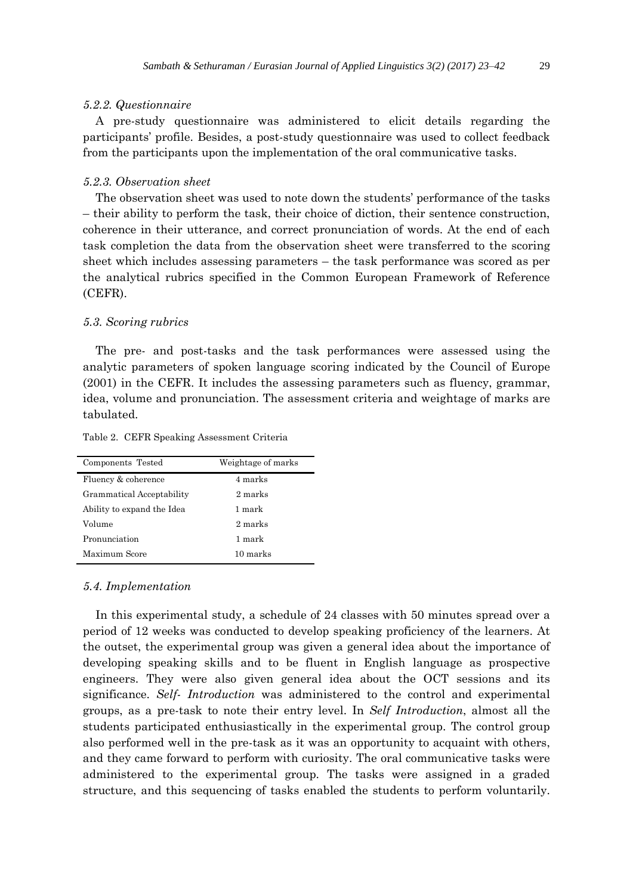#### *5.2.2. Questionnaire*

A pre-study questionnaire was administered to elicit details regarding the participants' profile. Besides, a post-study questionnaire was used to collect feedback from the participants upon the implementation of the oral communicative tasks.

#### *5.2.3. Observation sheet*

The observation sheet was used to note down the students' performance of the tasks – their ability to perform the task, their choice of diction, their sentence construction, coherence in their utterance, and correct pronunciation of words. At the end of each task completion the data from the observation sheet were transferred to the scoring sheet which includes assessing parameters – the task performance was scored as per the analytical rubrics specified in the Common European Framework of Reference (CEFR).

#### *5.3. Scoring rubrics*

The pre- and post-tasks and the task performances were assessed using the analytic parameters of spoken language scoring indicated by the Council of Europe (2001) in the CEFR. It includes the assessing parameters such as fluency, grammar, idea, volume and pronunciation. The assessment criteria and weightage of marks are tabulated.

Table 2.CEFR Speaking Assessment Criteria

| Components Tested          | Weightage of marks |
|----------------------------|--------------------|
| Fluency & coherence        | 4 marks            |
| Grammatical Acceptability  | 2 marks            |
| Ability to expand the Idea | 1 mark             |
| Volume                     | 2 marks            |
| Pronunciation              | 1 mark             |
| Maximum Score              | 10 marks           |

#### *5.4. Implementation*

In this experimental study, a schedule of 24 classes with 50 minutes spread over a period of 12 weeks was conducted to develop speaking proficiency of the learners. At the outset, the experimental group was given a general idea about the importance of developing speaking skills and to be fluent in English language as prospective engineers. They were also given general idea about the OCT sessions and its significance. *Self- Introduction* was administered to the control and experimental groups, as a pre-task to note their entry level. In *Self Introduction*, almost all the students participated enthusiastically in the experimental group. The control group also performed well in the pre-task as it was an opportunity to acquaint with others, and they came forward to perform with curiosity. The oral communicative tasks were administered to the experimental group. The tasks were assigned in a graded structure, and this sequencing of tasks enabled the students to perform voluntarily.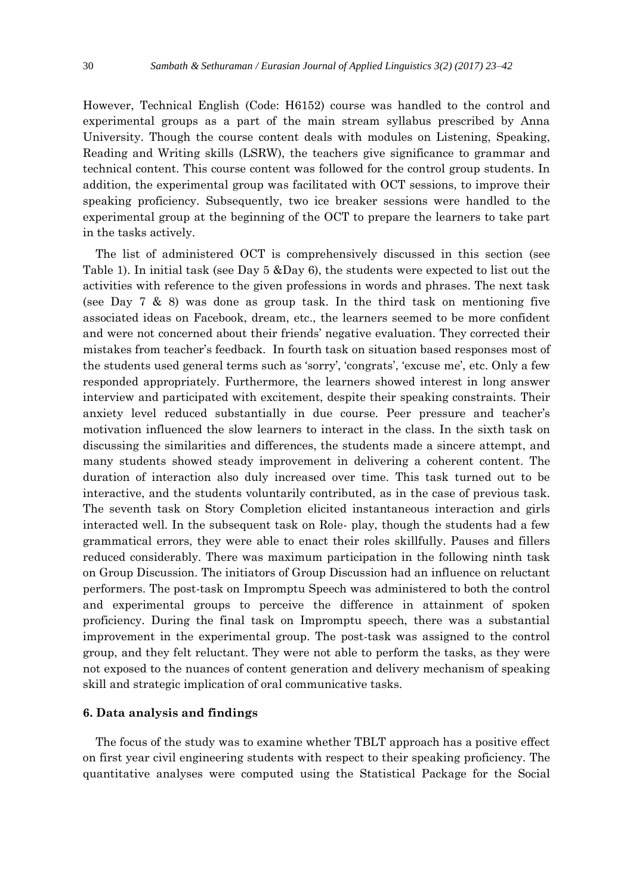However, Technical English (Code: H6152) course was handled to the control and experimental groups as a part of the main stream syllabus prescribed by Anna University. Though the course content deals with modules on Listening, Speaking, Reading and Writing skills (LSRW), the teachers give significance to grammar and technical content. This course content was followed for the control group students. In addition, the experimental group was facilitated with OCT sessions, to improve their speaking proficiency. Subsequently, two ice breaker sessions were handled to the experimental group at the beginning of the OCT to prepare the learners to take part in the tasks actively.

The list of administered OCT is comprehensively discussed in this section (see Table 1). In initial task (see Day 5 &Day 6), the students were expected to list out the activities with reference to the given professions in words and phrases. The next task (see Day 7  $\&$  8) was done as group task. In the third task on mentioning five associated ideas on Facebook, dream, etc., the learners seemed to be more confident and were not concerned about their friends' negative evaluation. They corrected their mistakes from teacher's feedback. In fourth task on situation based responses most of the students used general terms such as 'sorry', 'congrats', 'excuse me', etc. Only a few responded appropriately. Furthermore, the learners showed interest in long answer interview and participated with excitement, despite their speaking constraints. Their anxiety level reduced substantially in due course. Peer pressure and teacher's motivation influenced the slow learners to interact in the class. In the sixth task on discussing the similarities and differences, the students made a sincere attempt, and many students showed steady improvement in delivering a coherent content. The duration of interaction also duly increased over time. This task turned out to be interactive, and the students voluntarily contributed, as in the case of previous task. The seventh task on Story Completion elicited instantaneous interaction and girls interacted well. In the subsequent task on Role- play, though the students had a few grammatical errors, they were able to enact their roles skillfully. Pauses and fillers reduced considerably. There was maximum participation in the following ninth task on Group Discussion. The initiators of Group Discussion had an influence on reluctant performers. The post-task on Impromptu Speech was administered to both the control and experimental groups to perceive the difference in attainment of spoken proficiency. During the final task on Impromptu speech, there was a substantial improvement in the experimental group. The post-task was assigned to the control group, and they felt reluctant. They were not able to perform the tasks, as they were not exposed to the nuances of content generation and delivery mechanism of speaking skill and strategic implication of oral communicative tasks.

# **6. Data analysis and findings**

The focus of the study was to examine whether TBLT approach has a positive effect on first year civil engineering students with respect to their speaking proficiency. The quantitative analyses were computed using the Statistical Package for the Social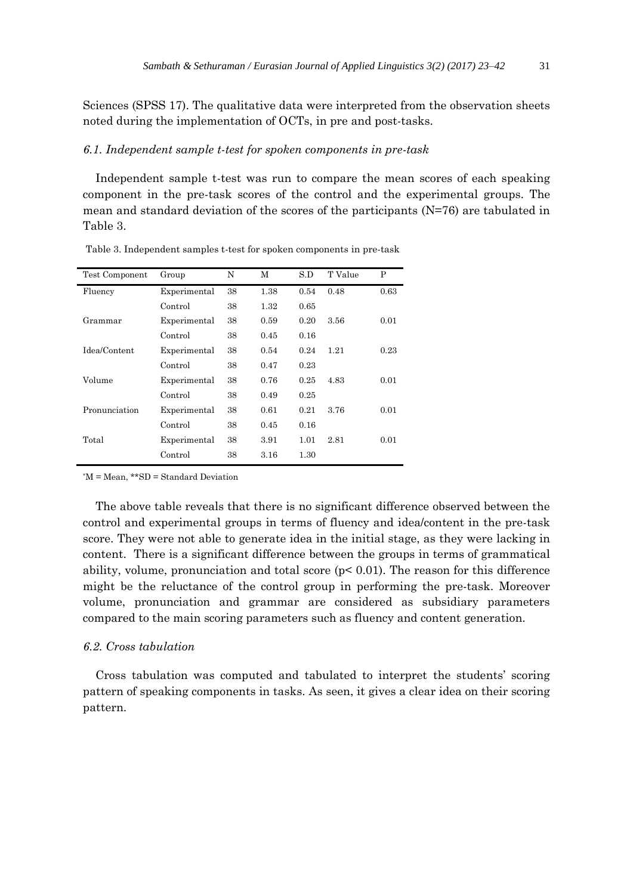Sciences (SPSS 17). The qualitative data were interpreted from the observation sheets noted during the implementation of OCTs, in pre and post-tasks.

#### *6.1. Independent sample t-test for spoken components in pre-task*

Independent sample t-test was run to compare the mean scores of each speaking component in the pre-task scores of the control and the experimental groups. The mean and standard deviation of the scores of the participants (N=76) are tabulated in Table 3.

| Test Component | Group        | N  | М    | S.D  | T Value | P    |
|----------------|--------------|----|------|------|---------|------|
| Fluency        | Experimental | 38 | 1.38 | 0.54 | 0.48    | 0.63 |
|                | Control      | 38 | 1.32 | 0.65 |         |      |
| Grammar        | Experimental | 38 | 0.59 | 0.20 | 3.56    | 0.01 |
|                | Control      | 38 | 0.45 | 0.16 |         |      |
| Idea/Content   | Experimental | 38 | 0.54 | 0.24 | 1.21    | 0.23 |
|                | Control      | 38 | 0.47 | 0.23 |         |      |
| Volume         | Experimental | 38 | 0.76 | 0.25 | 4.83    | 0.01 |
|                | Control      | 38 | 0.49 | 0.25 |         |      |
| Pronunciation  | Experimental | 38 | 0.61 | 0.21 | 3.76    | 0.01 |
|                | Control      | 38 | 0.45 | 0.16 |         |      |
| Total          | Experimental | 38 | 3.91 | 1.01 | 2.81    | 0.01 |
|                | Control      | 38 | 3.16 | 1.30 |         |      |
|                |              |    |      |      |         |      |

Table 3. Independent samples t-test for spoken components in pre-task

\*M = Mean, \*\*SD = Standard Deviation

The above table reveals that there is no significant difference observed between the control and experimental groups in terms of fluency and idea/content in the pre-task score. They were not able to generate idea in the initial stage, as they were lacking in content. There is a significant difference between the groups in terms of grammatical ability, volume, pronunciation and total score  $(p< 0.01)$ . The reason for this difference might be the reluctance of the control group in performing the pre-task. Moreover volume, pronunciation and grammar are considered as subsidiary parameters compared to the main scoring parameters such as fluency and content generation.

# *6.2. Cross tabulation*

Cross tabulation was computed and tabulated to interpret the students' scoring pattern of speaking components in tasks. As seen, it gives a clear idea on their scoring pattern.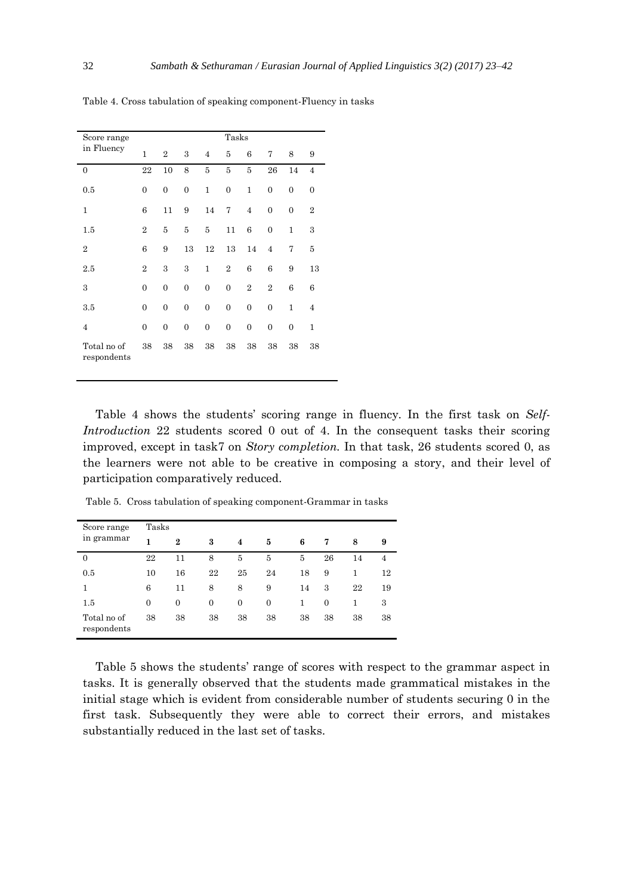| Score range                |                  |                  |                  |                  | Tasks            |                  |                  |                  |                |
|----------------------------|------------------|------------------|------------------|------------------|------------------|------------------|------------------|------------------|----------------|
| in Fluency                 | $\overline{1}$   | $\overline{2}$   | 3                | $\overline{4}$   | 5                | 6                | 7                | 8                | 9              |
| $\mathbf{0}$               | 22               | 10               | 8                | 5                | 5                | 5                | 26               | 14               | $\overline{4}$ |
| 0.5                        | $\overline{0}$   | $\boldsymbol{0}$ | $\boldsymbol{0}$ | $\mathbf{1}$     | 0                | 1                | $\boldsymbol{0}$ | $\overline{0}$   | $\overline{0}$ |
| 1                          | 6                | 11               | 9                | 14               | 7                | $\overline{4}$   | $\overline{0}$   | $\overline{0}$   | $\overline{2}$ |
| $1.5\,$                    | $\overline{2}$   | 5                | 5                | 5                | 11               | 6                | $\boldsymbol{0}$ | $\mathbf{1}$     | 3              |
| $\overline{2}$             | 6                | 9                | 13               | 12               | 13               | 14               | $\overline{4}$   | 7                | 5              |
| 2.5                        | $\overline{2}$   | 3                | 3                | $\mathbf{1}$     | $\overline{2}$   | 6                | 6                | 9                | 13             |
| 3                          | $\overline{0}$   | $\boldsymbol{0}$ | $\boldsymbol{0}$ | $\overline{0}$   | $\boldsymbol{0}$ | $\overline{2}$   | $\overline{2}$   | 6                | 6              |
| 3.5                        | $\overline{0}$   | $\boldsymbol{0}$ | $\boldsymbol{0}$ | $\boldsymbol{0}$ | $\boldsymbol{0}$ | $\boldsymbol{0}$ | $\boldsymbol{0}$ | $\mathbf{1}$     | $\overline{4}$ |
| $\overline{4}$             | $\boldsymbol{0}$ | $\boldsymbol{0}$ | $\boldsymbol{0}$ | $\boldsymbol{0}$ | $\boldsymbol{0}$ | $\boldsymbol{0}$ | $\boldsymbol{0}$ | $\boldsymbol{0}$ | 1              |
| Total no of<br>respondents | 38               | 38               | 38               | 38               | 38               | 38               | 38               | 38               | 38             |

Table 4. Cross tabulation of speaking component-Fluency in tasks

Table 4 shows the students' scoring range in fluency. In the first task on *Self-Introduction* 22 students scored 0 out of 4. In the consequent tasks their scoring improved, except in task7 on *Story completion.* In that task, 26 students scored 0, as the learners were not able to be creative in composing a story, and their level of participation comparatively reduced.

| Score range                | Tasks          |                |                |                     |                |    |                |    |    |  |
|----------------------------|----------------|----------------|----------------|---------------------|----------------|----|----------------|----|----|--|
| in grammar                 | 1              | $\bf{2}$       | 3              | $\overline{\bf{4}}$ | 5              | 6  | 7              | 8  | 9  |  |
| $\overline{0}$             | 22             | 11             | 8              | 5                   | 5              | 5  | 26             | 14 | 4  |  |
| 0.5                        | 10             | 16             | 22             | 25                  | 24             | 18 | 9              | 1  | 12 |  |
| 1                          | 6              | 11             | 8              | 8                   | 9              | 14 | 3              | 22 | 19 |  |
| 1.5                        | $\overline{0}$ | $\overline{0}$ | $\overline{0}$ | $\overline{0}$      | $\overline{0}$ | 1  | $\overline{0}$ | 1  | 3  |  |
| Total no of<br>respondents | 38             | 38             | 38             | 38                  | 38             | 38 | 38             | 38 | 38 |  |

Table 5. Cross tabulation of speaking component-Grammar in tasks

Table 5 shows the students' range of scores with respect to the grammar aspect in tasks. It is generally observed that the students made grammatical mistakes in the initial stage which is evident from considerable number of students securing 0 in the first task. Subsequently they were able to correct their errors, and mistakes substantially reduced in the last set of tasks.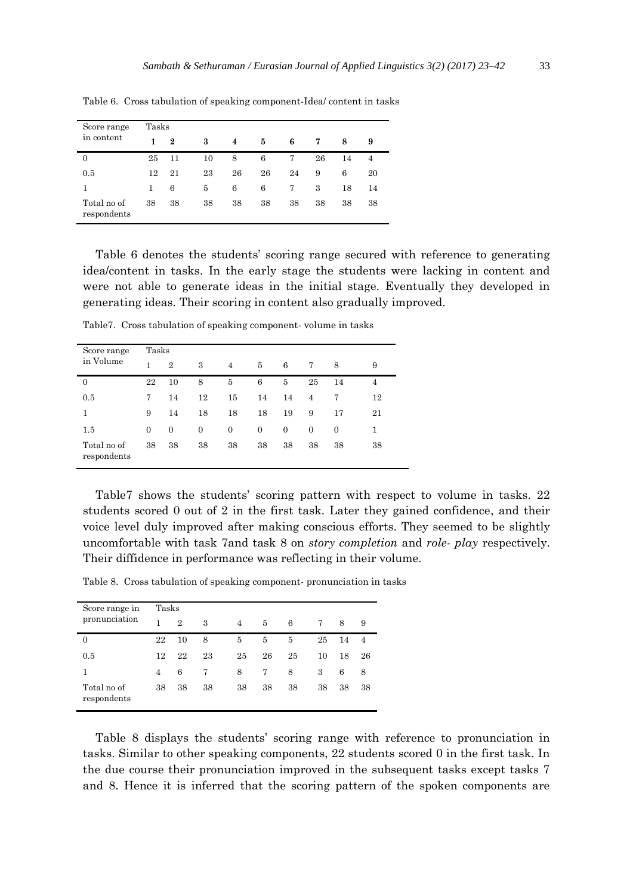| Score range                | Tasks |                  |    |    |    |    |    |    |    |
|----------------------------|-------|------------------|----|----|----|----|----|----|----|
| in content                 | 1     | $\boldsymbol{2}$ | 3  | 4  | 5  | 6  | 7  | 8  | 9  |
| 0                          | 25    | 11               | 10 | 8  | 6  | 7  | 26 | 14 | 4  |
| 0.5                        | 12    | 21               | 23 | 26 | 26 | 24 | 9  | 6  | 20 |
|                            | 1     | 6                | 5  | 6  | 6  | 7  | 3  | 18 | 14 |
| Total no of<br>respondents | 38    | 38               | 38 | 38 | 38 | 38 | 38 | 38 | 38 |

Table 6. Cross tabulation of speaking component-Idea/ content in tasks

Table 6 denotes the students' scoring range secured with reference to generating idea/content in tasks. In the early stage the students were lacking in content and were not able to generate ideas in the initial stage. Eventually they developed in generating ideas. Their scoring in content also gradually improved.

| Score range                | Tasks          |                |                |                |                |                |              |          |    |  |
|----------------------------|----------------|----------------|----------------|----------------|----------------|----------------|--------------|----------|----|--|
| in Volume                  | 1              | $\overline{2}$ | 3              | 4              | 5              | 6              | 7            | 8        | 9  |  |
| $\overline{0}$             | 22             | 10             | 8              | 5              | 6              | 5              | 25           | 14       | 4  |  |
| 0.5                        | 7              | 14             | 12             | 15             | 14             | 14             | 4            | 7        | 12 |  |
| 1                          | 9              | 14             | 18             | 18             | 18             | 19             | 9            | 17       | 21 |  |
| 1.5                        | $\overline{0}$ | $\overline{0}$ | $\overline{0}$ | $\overline{0}$ | $\overline{0}$ | $\overline{0}$ | $\mathbf{0}$ | $\Omega$ | 1  |  |
| Total no of<br>respondents | 38             | 38             | 38             | 38             | 38             | 38             | 38           | 38       | 38 |  |

Table7. Cross tabulation of speaking component- volume in tasks

Table7 shows the students' scoring pattern with respect to volume in tasks. 22 students scored 0 out of 2 in the first task. Later they gained confidence, and their voice level duly improved after making conscious efforts. They seemed to be slightly uncomfortable with task 7and task 8 on *story completion* and *role- play* respectively. Their diffidence in performance was reflecting in their volume.

Table 8. Cross tabulation of speaking component- pronunciation in tasks

| Score range in             | Tasks |                |    |    |    |    |    |    |                |  |  |
|----------------------------|-------|----------------|----|----|----|----|----|----|----------------|--|--|
| pronunciation              | 1     | $\overline{2}$ | 3  | 4  | 5  | 6  | 7  | 8  | 9              |  |  |
| $\overline{0}$             | 22    | 10             | 8  | 5  | 5  | 5  | 25 | 14 | $\overline{4}$ |  |  |
| 0.5                        | 12    | 22             | 23 | 25 | 26 | 25 | 10 | 18 | 26             |  |  |
|                            | 4     | 6              | 7  | 8  | 7  | 8  | 3  | 6  | 8              |  |  |
| Total no of<br>respondents | 38    | 38             | 38 | 38 | 38 | 38 | 38 | 38 | 38             |  |  |

Table 8 displays the students' scoring range with reference to pronunciation in tasks. Similar to other speaking components, 22 students scored 0 in the first task. In the due course their pronunciation improved in the subsequent tasks except tasks 7 and 8. Hence it is inferred that the scoring pattern of the spoken components are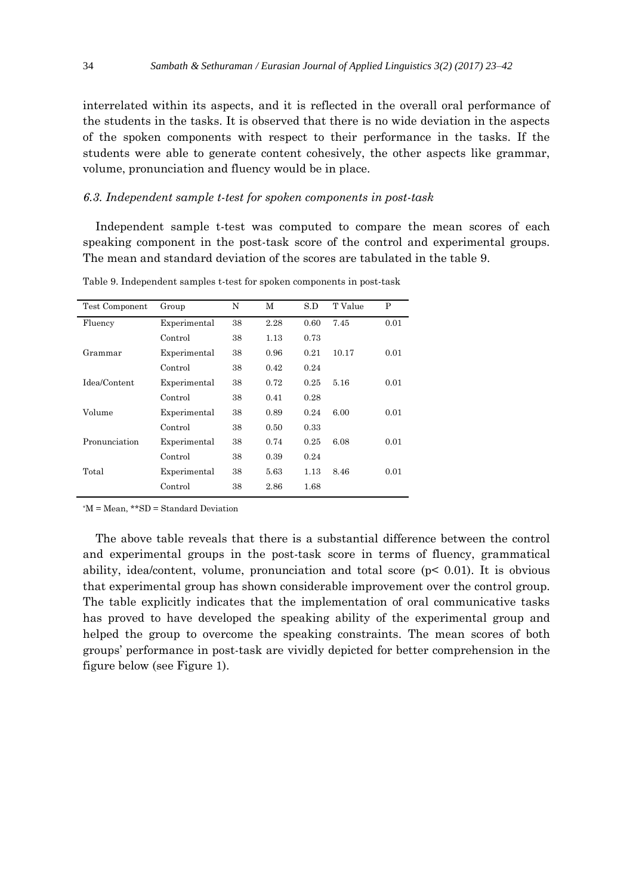interrelated within its aspects, and it is reflected in the overall oral performance of the students in the tasks. It is observed that there is no wide deviation in the aspects of the spoken components with respect to their performance in the tasks. If the students were able to generate content cohesively, the other aspects like grammar, volume, pronunciation and fluency would be in place.

#### *6.3. Independent sample t-test for spoken components in post-task*

Independent sample t-test was computed to compare the mean scores of each speaking component in the post-task score of the control and experimental groups. The mean and standard deviation of the scores are tabulated in the table 9.

| Test Component | Group        | N  | М    | S.D  | T Value | P    |
|----------------|--------------|----|------|------|---------|------|
| Fluency        | Experimental | 38 | 2.28 | 0.60 | 7.45    | 0.01 |
|                | Control      | 38 | 1.13 | 0.73 |         |      |
| Grammar        | Experimental | 38 | 0.96 | 0.21 | 10.17   | 0.01 |
|                | Control      | 38 | 0.42 | 0.24 |         |      |
| Idea/Content   | Experimental | 38 | 0.72 | 0.25 | 5.16    | 0.01 |
|                | Control      | 38 | 0.41 | 0.28 |         |      |
| Volume         | Experimental | 38 | 0.89 | 0.24 | 6.00    | 0.01 |
|                | Control      | 38 | 0.50 | 0.33 |         |      |
| Pronunciation  | Experimental | 38 | 0.74 | 0.25 | 6.08    | 0.01 |
|                | Control      | 38 | 0.39 | 0.24 |         |      |
| Total          | Experimental | 38 | 5.63 | 1.13 | 8.46    | 0.01 |
|                | Control      | 38 | 2.86 | 1.68 |         |      |

Table 9. Independent samples t-test for spoken components in post-task

\*M = Mean, \*\*SD = Standard Deviation

The above table reveals that there is a substantial difference between the control and experimental groups in the post-task score in terms of fluency, grammatical ability, idea/content, volume, pronunciation and total score (p< 0.01). It is obvious that experimental group has shown considerable improvement over the control group. The table explicitly indicates that the implementation of oral communicative tasks has proved to have developed the speaking ability of the experimental group and helped the group to overcome the speaking constraints. The mean scores of both groups' performance in post-task are vividly depicted for better comprehension in the figure below (see Figure 1).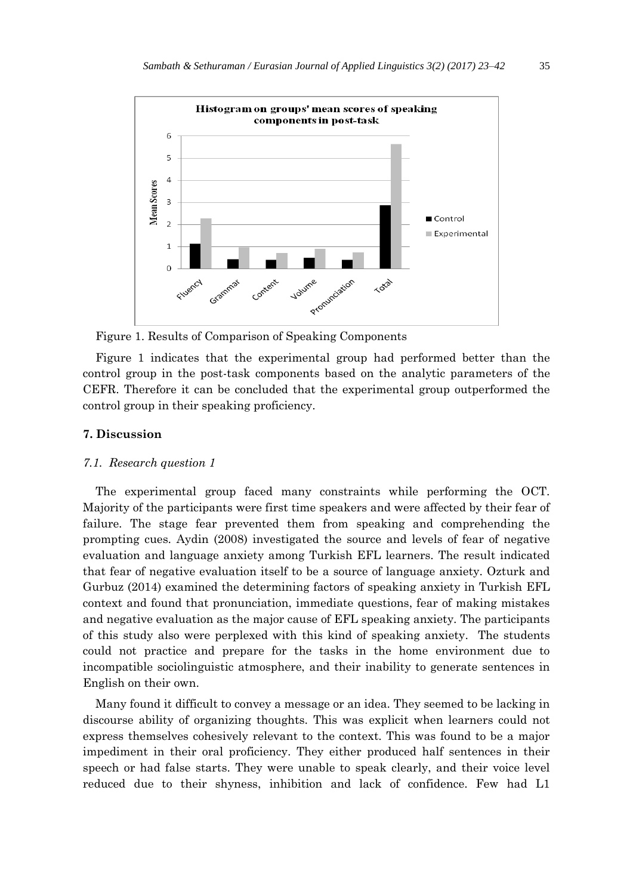

Figure 1. Results of Comparison of Speaking Components

Figure 1 indicates that the experimental group had performed better than the control group in the post-task components based on the analytic parameters of the CEFR. Therefore it can be concluded that the experimental group outperformed the control group in their speaking proficiency.

#### **7. Discussion**

# *7.1. Research question 1*

The experimental group faced many constraints while performing the OCT. Majority of the participants were first time speakers and were affected by their fear of failure. The stage fear prevented them from speaking and comprehending the prompting cues. Aydin (2008) investigated the source and levels of fear of negative evaluation and language anxiety among Turkish EFL learners. The result indicated that fear of negative evaluation itself to be a source of language anxiety. Ozturk and Gurbuz (2014) examined the determining factors of speaking anxiety in Turkish EFL context and found that pronunciation, immediate questions, fear of making mistakes and negative evaluation as the major cause of EFL speaking anxiety. The participants of this study also were perplexed with this kind of speaking anxiety. The students could not practice and prepare for the tasks in the home environment due to incompatible sociolinguistic atmosphere, and their inability to generate sentences in English on their own.

Many found it difficult to convey a message or an idea. They seemed to be lacking in discourse ability of organizing thoughts. This was explicit when learners could not express themselves cohesively relevant to the context. This was found to be a major impediment in their oral proficiency. They either produced half sentences in their speech or had false starts. They were unable to speak clearly, and their voice level reduced due to their shyness, inhibition and lack of confidence. Few had L1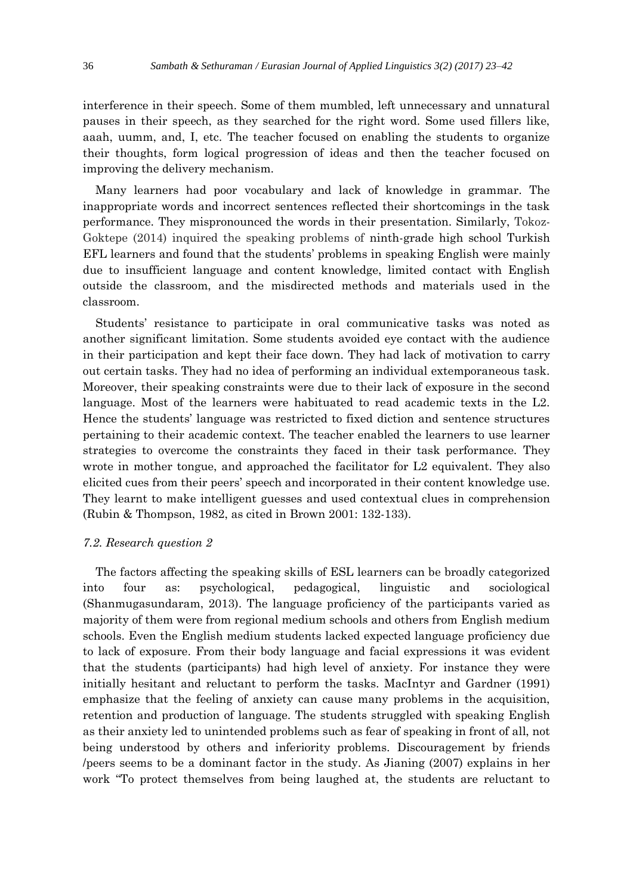interference in their speech. Some of them mumbled, left unnecessary and unnatural pauses in their speech, as they searched for the right word. Some used fillers like, aaah, uumm, and, I, etc. The teacher focused on enabling the students to organize their thoughts, form logical progression of ideas and then the teacher focused on improving the delivery mechanism.

Many learners had poor vocabulary and lack of knowledge in grammar. The inappropriate words and incorrect sentences reflected their shortcomings in the task performance. They mispronounced the words in their presentation. Similarly, Tokoz-Goktepe (2014) inquired the speaking problems of ninth-grade high school Turkish EFL learners and found that the students' problems in speaking English were mainly due to insufficient language and content knowledge, limited contact with English outside the classroom, and the misdirected methods and materials used in the classroom.

Students' resistance to participate in oral communicative tasks was noted as another significant limitation. Some students avoided eye contact with the audience in their participation and kept their face down. They had lack of motivation to carry out certain tasks. They had no idea of performing an individual extemporaneous task. Moreover, their speaking constraints were due to their lack of exposure in the second language. Most of the learners were habituated to read academic texts in the L2. Hence the students' language was restricted to fixed diction and sentence structures pertaining to their academic context. The teacher enabled the learners to use learner strategies to overcome the constraints they faced in their task performance. They wrote in mother tongue, and approached the facilitator for L2 equivalent. They also elicited cues from their peers' speech and incorporated in their content knowledge use. They learnt to make intelligent guesses and used contextual clues in comprehension (Rubin & Thompson, 1982, as cited in Brown 2001: 132-133).

# *7.2. Research question 2*

The factors affecting the speaking skills of ESL learners can be broadly categorized into four as: psychological, pedagogical, linguistic and sociological (Shanmugasundaram, 2013). The language proficiency of the participants varied as majority of them were from regional medium schools and others from English medium schools. Even the English medium students lacked expected language proficiency due to lack of exposure. From their body language and facial expressions it was evident that the students (participants) had high level of anxiety. For instance they were initially hesitant and reluctant to perform the tasks. MacIntyr and Gardner (1991) emphasize that the feeling of anxiety can cause many problems in the acquisition, retention and production of language. The students struggled with speaking English as their anxiety led to unintended problems such as fear of speaking in front of all, not being understood by others and inferiority problems. Discouragement by friends /peers seems to be a dominant factor in the study. As Jianing (2007) explains in her work "To protect themselves from being laughed at, the students are reluctant to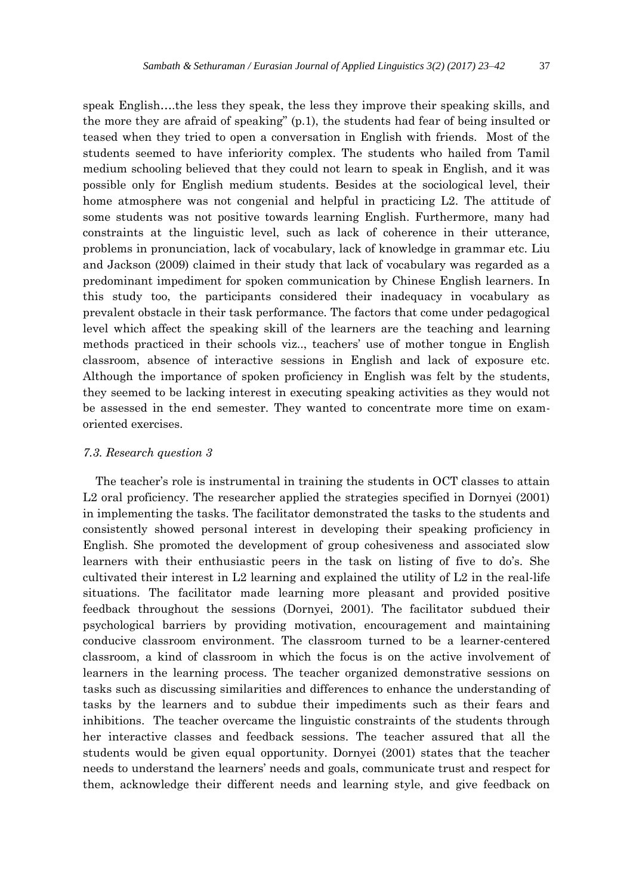speak English….the less they speak, the less they improve their speaking skills, and the more they are afraid of speaking" (p.1), the students had fear of being insulted or teased when they tried to open a conversation in English with friends. Most of the students seemed to have inferiority complex. The students who hailed from Tamil medium schooling believed that they could not learn to speak in English, and it was possible only for English medium students. Besides at the sociological level, their home atmosphere was not congenial and helpful in practicing L2. The attitude of some students was not positive towards learning English. Furthermore, many had constraints at the linguistic level, such as lack of coherence in their utterance, problems in pronunciation, lack of vocabulary, lack of knowledge in grammar etc. Liu and Jackson (2009) claimed in their study that lack of vocabulary was regarded as a predominant impediment for spoken communication by Chinese English learners. In this study too, the participants considered their inadequacy in vocabulary as prevalent obstacle in their task performance. The factors that come under pedagogical level which affect the speaking skill of the learners are the teaching and learning methods practiced in their schools viz.., teachers' use of mother tongue in English classroom, absence of interactive sessions in English and lack of exposure etc. Although the importance of spoken proficiency in English was felt by the students, they seemed to be lacking interest in executing speaking activities as they would not be assessed in the end semester. They wanted to concentrate more time on examoriented exercises.

# *7.3. Research question 3*

The teacher's role is instrumental in training the students in OCT classes to attain L2 oral proficiency. The researcher applied the strategies specified in Dornyei (2001) in implementing the tasks. The facilitator demonstrated the tasks to the students and consistently showed personal interest in developing their speaking proficiency in English. She promoted the development of group cohesiveness and associated slow learners with their enthusiastic peers in the task on listing of five to do's. She cultivated their interest in L2 learning and explained the utility of L2 in the real-life situations. The facilitator made learning more pleasant and provided positive feedback throughout the sessions (Dornyei, 2001). The facilitator subdued their psychological barriers by providing motivation, encouragement and maintaining conducive classroom environment. The classroom turned to be a learner-centered classroom, a kind of classroom in which the focus is on the active involvement of learners in the learning process. The teacher organized demonstrative sessions on tasks such as discussing similarities and differences to enhance the understanding of tasks by the learners and to subdue their impediments such as their fears and inhibitions. The teacher overcame the linguistic constraints of the students through her interactive classes and feedback sessions. The teacher assured that all the students would be given equal opportunity. Dornyei (2001) states that the teacher needs to understand the learners' needs and goals, communicate trust and respect for them, acknowledge their different needs and learning style, and give feedback on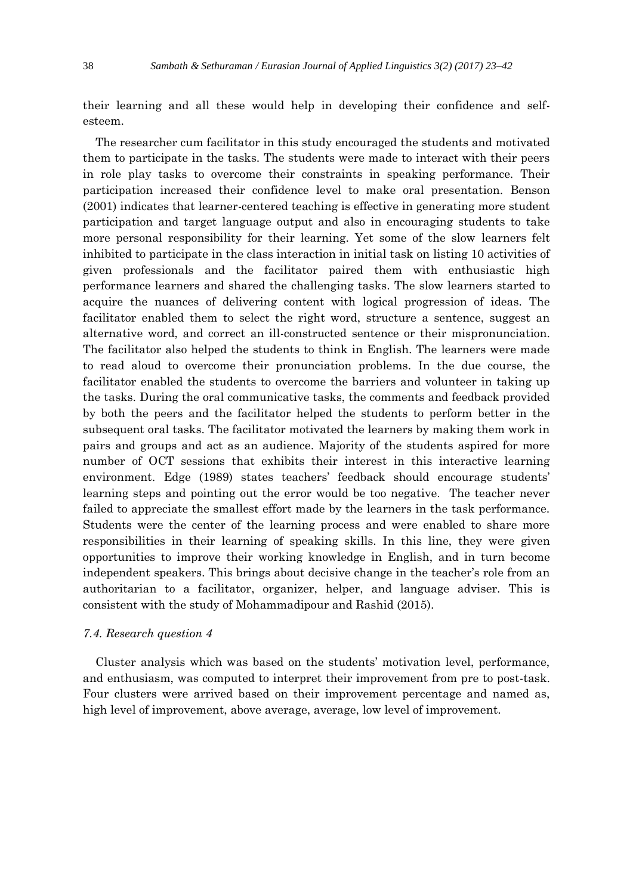their learning and all these would help in developing their confidence and selfesteem.

The researcher cum facilitator in this study encouraged the students and motivated them to participate in the tasks. The students were made to interact with their peers in role play tasks to overcome their constraints in speaking performance. Their participation increased their confidence level to make oral presentation. Benson (2001) indicates that learner-centered teaching is effective in generating more student participation and target language output and also in encouraging students to take more personal responsibility for their learning. Yet some of the slow learners felt inhibited to participate in the class interaction in initial task on listing 10 activities of given professionals and the facilitator paired them with enthusiastic high performance learners and shared the challenging tasks. The slow learners started to acquire the nuances of delivering content with logical progression of ideas. The facilitator enabled them to select the right word, structure a sentence, suggest an alternative word, and correct an ill-constructed sentence or their mispronunciation. The facilitator also helped the students to think in English. The learners were made to read aloud to overcome their pronunciation problems. In the due course, the facilitator enabled the students to overcome the barriers and volunteer in taking up the tasks. During the oral communicative tasks, the comments and feedback provided by both the peers and the facilitator helped the students to perform better in the subsequent oral tasks. The facilitator motivated the learners by making them work in pairs and groups and act as an audience. Majority of the students aspired for more number of OCT sessions that exhibits their interest in this interactive learning environment. Edge (1989) states teachers' feedback should encourage students' learning steps and pointing out the error would be too negative. The teacher never failed to appreciate the smallest effort made by the learners in the task performance. Students were the center of the learning process and were enabled to share more responsibilities in their learning of speaking skills. In this line, they were given opportunities to improve their working knowledge in English, and in turn become independent speakers. This brings about decisive change in the teacher's role from an authoritarian to a facilitator, organizer, helper, and language adviser. This is consistent with the study of Mohammadipour and Rashid (2015).

#### *7.4. Research question 4*

Cluster analysis which was based on the students' motivation level, performance, and enthusiasm, was computed to interpret their improvement from pre to post-task. Four clusters were arrived based on their improvement percentage and named as, high level of improvement, above average, average, low level of improvement.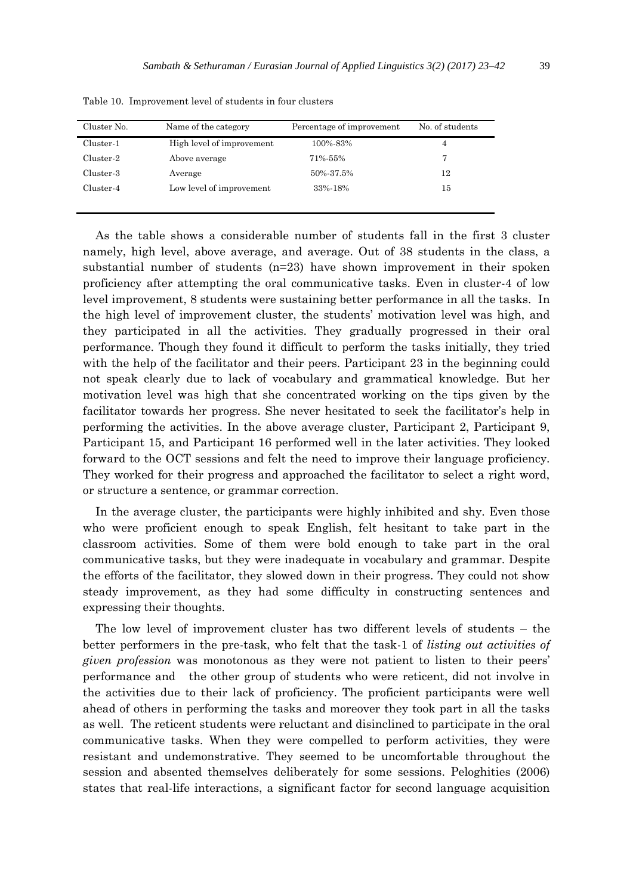| Cluster No. | Name of the category      | Percentage of improvement | No. of students |
|-------------|---------------------------|---------------------------|-----------------|
| Cluster-1   | High level of improvement | 100%-83%                  | 4               |
| Cluster-2   | Above average             | 71%-55%                   |                 |
| Cluster-3   | Average                   | 50%-37.5%                 | 12              |
| Cluster-4   | Low level of improvement  | 33%-18%                   | 15              |
|             |                           |                           |                 |

Table 10. Improvement level of students in four clusters

As the table shows a considerable number of students fall in the first 3 cluster namely, high level, above average, and average. Out of 38 students in the class, a substantial number of students (n=23) have shown improvement in their spoken proficiency after attempting the oral communicative tasks. Even in cluster-4 of low level improvement, 8 students were sustaining better performance in all the tasks. In the high level of improvement cluster, the students' motivation level was high, and they participated in all the activities. They gradually progressed in their oral performance. Though they found it difficult to perform the tasks initially, they tried with the help of the facilitator and their peers. Participant 23 in the beginning could not speak clearly due to lack of vocabulary and grammatical knowledge. But her motivation level was high that she concentrated working on the tips given by the facilitator towards her progress. She never hesitated to seek the facilitator's help in performing the activities. In the above average cluster, Participant 2, Participant 9, Participant 15, and Participant 16 performed well in the later activities. They looked forward to the OCT sessions and felt the need to improve their language proficiency. They worked for their progress and approached the facilitator to select a right word, or structure a sentence, or grammar correction.

In the average cluster, the participants were highly inhibited and shy. Even those who were proficient enough to speak English, felt hesitant to take part in the classroom activities. Some of them were bold enough to take part in the oral communicative tasks, but they were inadequate in vocabulary and grammar. Despite the efforts of the facilitator, they slowed down in their progress. They could not show steady improvement, as they had some difficulty in constructing sentences and expressing their thoughts.

The low level of improvement cluster has two different levels of students – the better performers in the pre-task, who felt that the task-1 of *listing out activities of given profession* was monotonous as they were not patient to listen to their peers' performance and the other group of students who were reticent, did not involve in the activities due to their lack of proficiency. The proficient participants were well ahead of others in performing the tasks and moreover they took part in all the tasks as well. The reticent students were reluctant and disinclined to participate in the oral communicative tasks. When they were compelled to perform activities, they were resistant and undemonstrative. They seemed to be uncomfortable throughout the session and absented themselves deliberately for some sessions. Peloghities (2006) states that real-life interactions, a significant factor for second language acquisition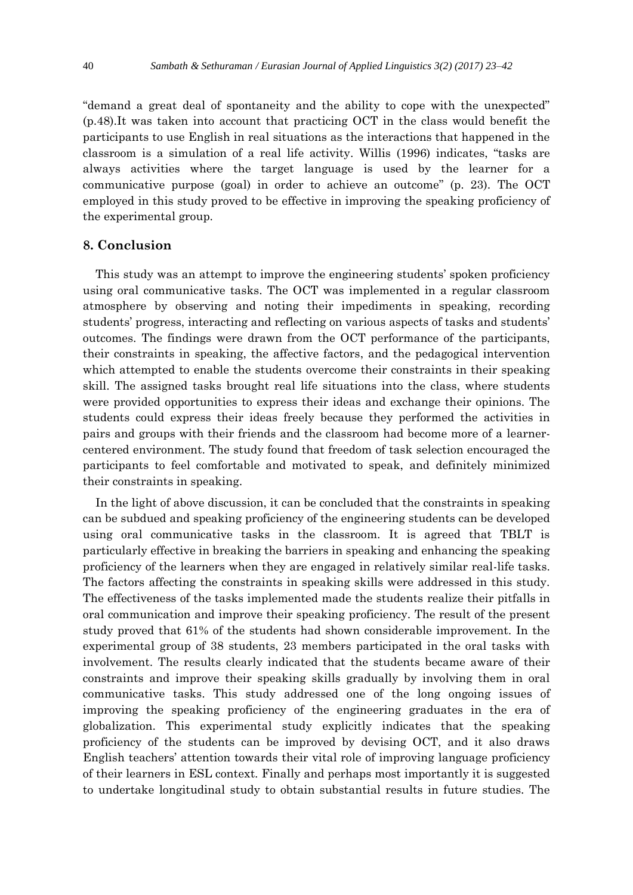"demand a great deal of spontaneity and the ability to cope with the unexpected" (p.48).It was taken into account that practicing OCT in the class would benefit the participants to use English in real situations as the interactions that happened in the classroom is a simulation of a real life activity. Willis (1996) indicates, "tasks are always activities where the target language is used by the learner for a communicative purpose (goal) in order to achieve an outcome" (p. 23). The OCT employed in this study proved to be effective in improving the speaking proficiency of the experimental group.

# **8. Conclusion**

This study was an attempt to improve the engineering students' spoken proficiency using oral communicative tasks. The OCT was implemented in a regular classroom atmosphere by observing and noting their impediments in speaking, recording students' progress, interacting and reflecting on various aspects of tasks and students' outcomes. The findings were drawn from the OCT performance of the participants, their constraints in speaking, the affective factors, and the pedagogical intervention which attempted to enable the students overcome their constraints in their speaking skill. The assigned tasks brought real life situations into the class, where students were provided opportunities to express their ideas and exchange their opinions. The students could express their ideas freely because they performed the activities in pairs and groups with their friends and the classroom had become more of a learnercentered environment. The study found that freedom of task selection encouraged the participants to feel comfortable and motivated to speak, and definitely minimized their constraints in speaking.

In the light of above discussion, it can be concluded that the constraints in speaking can be subdued and speaking proficiency of the engineering students can be developed using oral communicative tasks in the classroom. It is agreed that TBLT is particularly effective in breaking the barriers in speaking and enhancing the speaking proficiency of the learners when they are engaged in relatively similar real-life tasks. The factors affecting the constraints in speaking skills were addressed in this study. The effectiveness of the tasks implemented made the students realize their pitfalls in oral communication and improve their speaking proficiency. The result of the present study proved that 61% of the students had shown considerable improvement. In the experimental group of 38 students, 23 members participated in the oral tasks with involvement. The results clearly indicated that the students became aware of their constraints and improve their speaking skills gradually by involving them in oral communicative tasks. This study addressed one of the long ongoing issues of improving the speaking proficiency of the engineering graduates in the era of globalization. This experimental study explicitly indicates that the speaking proficiency of the students can be improved by devising OCT, and it also draws English teachers' attention towards their vital role of improving language proficiency of their learners in ESL context. Finally and perhaps most importantly it is suggested to undertake longitudinal study to obtain substantial results in future studies. The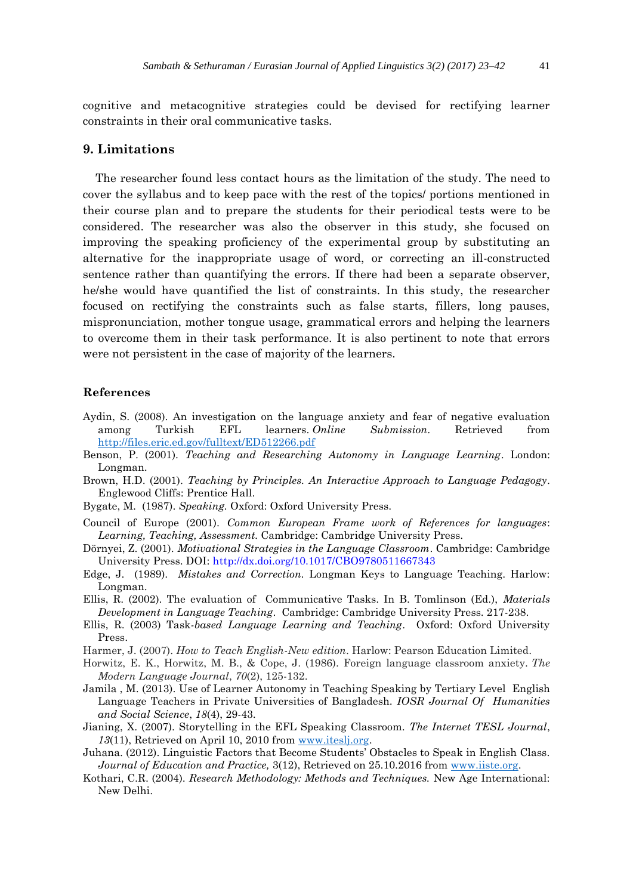cognitive and metacognitive strategies could be devised for rectifying learner constraints in their oral communicative tasks.

# **9. Limitations**

The researcher found less contact hours as the limitation of the study. The need to cover the syllabus and to keep pace with the rest of the topics/ portions mentioned in their course plan and to prepare the students for their periodical tests were to be considered. The researcher was also the observer in this study, she focused on improving the speaking proficiency of the experimental group by substituting an alternative for the inappropriate usage of word, or correcting an ill-constructed sentence rather than quantifying the errors. If there had been a separate observer, he/she would have quantified the list of constraints. In this study, the researcher focused on rectifying the constraints such as false starts, fillers, long pauses, mispronunciation, mother tongue usage, grammatical errors and helping the learners to overcome them in their task performance. It is also pertinent to note that errors were not persistent in the case of majority of the learners.

# **References**

- Aydin, S. (2008). An investigation on the language anxiety and fear of negative evaluation among Turkish EFL learners. *Online Submission*. Retrieved from <http://files.eric.ed.gov/fulltext/ED512266.pdf>
- Benson, P. (2001). *Teaching and Researching Autonomy in Language Learning*. London: Longman.
- Brown, H.D. (2001). *Teaching by Principles. An Interactive Approach to Language Pedagogy*. Englewood Cliffs: Prentice Hall.
- Bygate, M. (1987). *Speaking.* Oxford: Oxford University Press.
- Council of Europe (2001). *Common European Frame work of References for languages*: *Learning, Teaching, Assessment.* Cambridge: Cambridge University Press.
- Dörnyei, Z. (2001). *Motivational Strategies in the Language Classroom*. Cambridge: Cambridge University Press. DOI: http://dx.doi.org/10.1017/CBO9780511667343
- Edge, J. (1989). *Mistakes and Correction.* Longman Keys to Language Teaching. Harlow: Longman.
- Ellis, R. (2002). The evaluation of Communicative Tasks. In B. Tomlinson (Ed.), *Materials Development in Language Teaching*. Cambridge: Cambridge University Press. 217-238.
- Ellis, R. (2003) Task*-based Language Learning and Teaching*. Oxford: Oxford University Press.
- Harmer, J. (2007). *How to Teach English-New edition*. Harlow: Pearson Education Limited.
- Horwitz, E. K., Horwitz, M. B., & Cope, J. (1986). Foreign language classroom anxiety. *The Modern Language Journal*, *70*(2), 125-132.
- Jamila , M. (2013). Use of Learner Autonomy in Teaching Speaking by Tertiary Level English Language Teachers in Private Universities of Bangladesh. *IOSR Journal Of Humanities and Social Science*, *18*(4), 29-43.
- Jianing, X. (2007). Storytelling in the EFL Speaking Classroom. *The Internet TESL Journal*, *13*(11), Retrieved on April 10, 2010 from [www.iteslj.org.](http://www.iteslj.org/)
- Juhana. (2012). Linguistic Factors that Become Students' Obstacles to Speak in English Class. *Journal of Education and Practice,* 3(12), Retrieved on 25.10.2016 from [www.iiste.org.](http://www.iiste.org/)
- Kothari, C.R. (2004). *Research Methodology: Methods and Techniques.* New Age International: New Delhi.